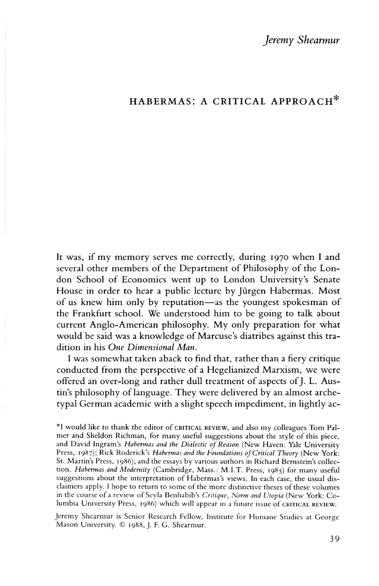# HABERMAS: A CRITICAL APPROACH\*

It was, if my memory serves me correctly, during 1970 when I and several other members of the Department of Philosophy of the London School of Economics went up to London University's Senate House in order to hear a public lecture by Jürgen Habermas. Most of us knew him only by reputation-as the youngest spokesman of the Frankfurt school. We understood him to be going to talk about current Anglo-American philosophy. My only preparation for what would be said was a knowledge of Marcuse's diatribes against this tradition in his One Dimensional Man.

I was somewhat taken aback to find that, rather than a fiery critique conducted from the perspective of a Hegelianized Marxism, we were offered an over-long and rather dull treatment of aspects of J. L. Austin's philosophy of language. They were delivered by an almost archetypal German academic with a slight speech impediment, in lightly ac-

**"1** would Ixke to thank the editor of CRITICAL REVIEW, and also my colleagues Tom Palmer and Sheldon Richman, for many useful suggestions about the style of this piece, and David Ingram's *Habermas and the Dialectic of Reason* (New Haven: Yale University Press, 1987); Rick Roderick's *Habermas and the Foundations of Critical Theory* (New York: St. Martin's Press, 1986); and the essays by various authors in Richard Bernstein's collection, *Habermas and Modernity* (Cambridge, Mass.: M.I.T. Press, 1985) for many useful suggestions about the interpretation of Habermas's views. In each case, the usual disclaimers apply. I hope to return to some of the more distinctive theses of these volumes in the course of a review of Seyla Benhabib's *Critique, Norm and Utopia* (New York: Columbia University Press, 1986) which will appear in a future issue of CRITICAL REVIEW.

Jeremy Shearmur is Senior Research Fellow, Institute for Humane Studies at George *Mason* University. Q 1988, J. F. **6.** Shearmur.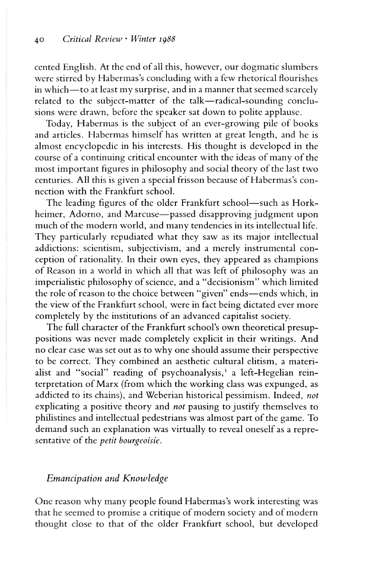cented English. At the end of all this, however, our dogmatic slumbers were stirred by Habermas's concluding with a few rhetorical flourishes in which—to at least my surprise, and in a manner that seemed scarcely related to the subject-matter of the talk-radical-sounding conclusions were drawn, before the speaker sat down to polite applause.

Today, Habermas is the subject of an ever-growing pile of books and articles. Habermas himself has written at great length, and he is almost encyclopedic in his interests. His thought is developed in the course of a continuing critical encounter with the ideas of many of the most important figures in philosophy and social theory of the last two centuries. All this is given a special frisson because of Habermas's connection with the Frankfurt school.

The leading figures of the older Frankfurt school-such as Horkheimer, Adorno, and Marcuse-passed disapproving judgment upon much of the modern world, and many tendencies in its intellectual life. They particularly repudiated what they saw as its major intellectual addictions: scientism, subjectivism, and a merely instrumental conception of rationality. In their own eyes, they appeared as champions of Reason in a world in which all that was left of philosophy was an imperialistic philosophy of science, and a "decisionism" which limited the role of reason to the choice between "given" ends-ends which, in the view of the Frankfurt school, were in fact being dictated ever more completely by the institutions of an advanced capitalist society.

The full character of the Frankfurt school's own theoretical presuppositions was never made completely explicit in their writings. And no clear case was set out as to why one should assume their perspective to be correct. They combined an aesthetic cultural elitism, a materialist and "social" reading of psychoanalysis,' a left-Hegelian reinterpretation of Marx (from which the working class was expunged, as addicted to its chains), and Weberian historical pessimism. Indeed, not explicating a positive theory and *not* pausing to justify themselves to philistines and intellectual pedestrians was almost part of the game. To demand such an explanation was virtually to reveal oneself as a representative of the *petit bourgeoisie.* 

## *Emancipation and Kaowledge*

One reason why many people found Habermas's work interesting was that he seemed to promise a critique of modern society and of modern thought close to that of the older Frankfurt school, but developed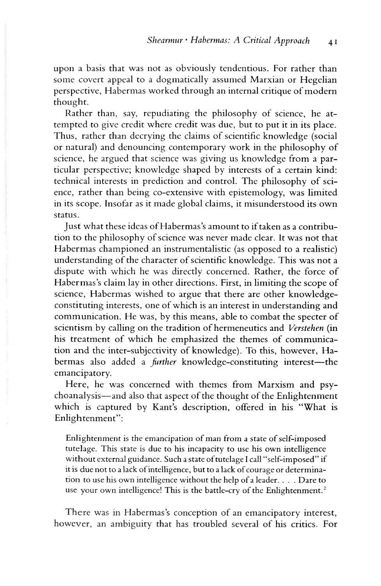upon a basis that was not as obviously tendentious. For rather than some covert appeal to a dogmatically assumed Marxian or Hegelian perspective, Habermas worked through an internal critique of modern thought.

Rather than, say, repudiating the philosophy of science, he attempted to give credit where credit was due, but to put it in its place. Thus, rather than decrying the claims of scientific knowledge (social or natural) and denouncing contemporary work in the philosophy of science, he argued that science was giving us knowledge from a particular perspective; knowledge shaped by interests of a certain kind: technical interests in prediction and control. The philosophy of science, rather than being co-extensive with epistemology, was limited in its scope. Insofar as it made global claims, it misunderstood its own status.

Just what these ideas of Habermas's amount to if taken as a contribution to the philosophy of science was never made clear. It was not that Habermas championed an instrumentalistic (as opposed to a realistic) understanding of the character of scientific knowledge. This was not a dispute with which he was directly concerned. Rather, the force of Habermas's claim lay in other directions. First, in limiting the scope of science, Habermas wished to argue that there are other knowledgeconstituting interests, one of which is an interest in understanding and communication. He was, by this means, able to combat the specter of scientism by calling on the tradition of hermeneutics and *Verstehen* (in his treatment of which he emphasized the themes of communication and the inter-subjectivity of knowledge). To this, however, Habermas also added a *further* knowledge-constituting interest-the emancipatory.

Here, he was concerned with themes from Marxism and psychoanalysis-and also that aspect of the thought of the Enlightenment which is captured by Kant's description, offered in his "What is Enlightenment":

Enlightenment is the emancipation of man from a state of self-imposed tutelage. This state is due to his incapacity to use his own intelligence without external guidance. Such a state of tutelage I call "self-imposed" if it is due not to a lack of intelligence, but to a lack of courage or determination to use his own intelligence without the help of a leader. . . . Dare to use your own intelligence! This is the battle-cry of the Enlightenment.<sup>2</sup>

There was in Habermas's conception of an emancipatory interest, however, an ambiguity that has troubled several of his critics. For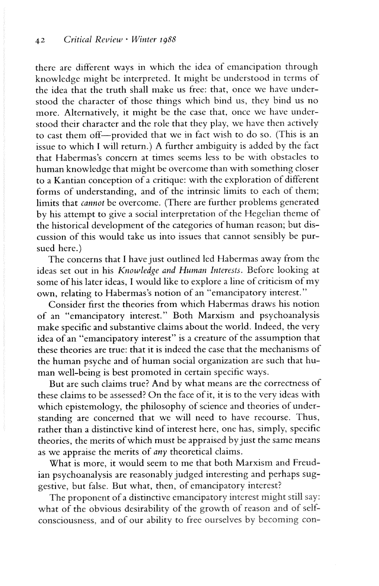there are different ways in which the idea of emancipation through knowledge might be interpreted. It might bc understood in terms of the idea that the truth shall make us free: that, once we have understood the character of those things which bind us, they bind us no more. Alternatively, it might be the case that, once we have understood their character and the role that they play, we have then actively to cast them off—provided that we in fact wish to do so. (This is an issue to which I will return.) A further ambiguity is added by the fact that Habermas's concern at times seems less to be with obstacles to human knowledge that might be overcome than with something closer to a Kantian conception of a critique: with the exploration of diiferent forms of understanding, and of the intrinsic limits to each of them; limits that cannot be overcome. (There are further problems generated by his attempt to give a social interpretation of the Hegelian theme of the historical development of the categories of human reason; but discussion of this would take us into issues that cannot sensibly be pursued here.)

The concerns that I have just outlined led Habermas away from the ideas set out in his *Knowledge and Human Interests*. Before looking at some of his later ideas, I would like to explore a line of criticism of my own, relating to Habermas's notion of an "emancipatory interest."

Consider first the theories from which Habermas draws his notion of an "emancipatory interest." Both Marxism and psychoanalysis make specific and substantive claims about the world. Indeed, the very idea of an "emancipatory interest" is a creature of the assumption that these theories are true: that it is indeed the case that the mechanisms of the human psyche and of human social organization are such that human well-being is best promoted in certain specific ways.

But are such claims true? And by what means are the correctness of these claims to be assessed? On the face of it, it is to the very ideas with which epistemology, the philosophy of science and theories of understanding are concerned that we will need to have recourse. Thus, rather than a distinctive kind of interest here, one has, simply, specific theories, the merits of which must be appraised by just the same means as we appraise the merits of any theoretical claims.

What is more, it would seem to me that both Marxism and Freudian psychoanalysis are reasonably judged interesting and perhaps suggestive, but false. But what, then, of emancipatory interest?

The proponent of a distinctive emancipatory interest might still say: what of the obvious desirability of the growth of reason and of selfconsciousness, and of our ability to free ourselves by becoming con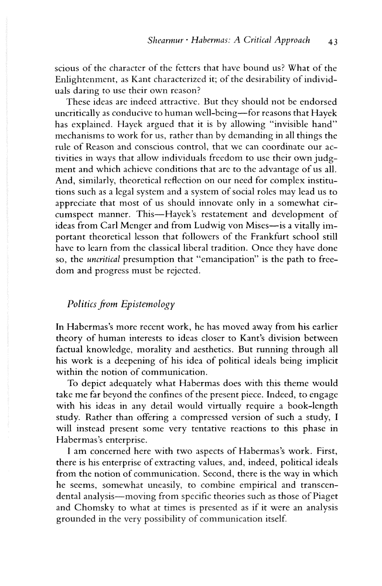scious of the character of the fetters that have bound us? What of the Enlightenment, as Kant characterized it; of the desirability of individuals daring to use their own reason?

These ideas are indeed attractive. But they should not be endorsed uncritically as conducive to human well-being-for reasons that Hayek has explained. Hayek argued that it is by allowing "invisible hand" mechanisms to work for us, rather than by demanding in all things the rule of Reason and conscious control, that we can coordinate our activities in ways that allow individuals freedom to use their own judgment and which achieve conditions that are to the advantage of us all. And, similarly, theoretical reflection on our need for complex institutions such as a legal system and a system of social roles may lead us to appreciate that most of us should innovate only in a somewhat circumspect manner. This-Hayek's restatement and development of ideas from Carl Menger and from Ludwig von Mises-is a vitally important theoretical lesson that followers of the Frankfurt school still have to learn from the classical liberal tradition. Once they have done so, the *uncritical* presumption that "emancipation" is the path to freedom and progress must be rejected.

#### *Politics fim Epistemology*

In Mabermas's more recent work, he has moved away from his earlier theory of human interests to ideas closer to Kant's division between factual knowledge, morality and aesthetics. But running through all his work is a deepening of his idea of political ideals being implicit within the notion of communication.

To depict adequately what Habermas does with this therne would take me far beyond the confines of the present piece. Indeed, to engage with his ideas in any detail would virtually require a book-length study. Rather than offering a compressed version of such a study, I will instead present some very tentative reactions to this phase in Habermas's enterprise.

I am concerned here with two aspects of Habermas's work. First, there is his enterprise of extracting values, and, indeed, political ideals from the notion of communication. Second, there is the way in which he seems, somewhat uneasily, to combine empirical and transcendental analysis---moving from specific theories such as those of Piaget and Ghomsky to what at times is presented as if it were an analysis grounded in the very possibility of communication itself.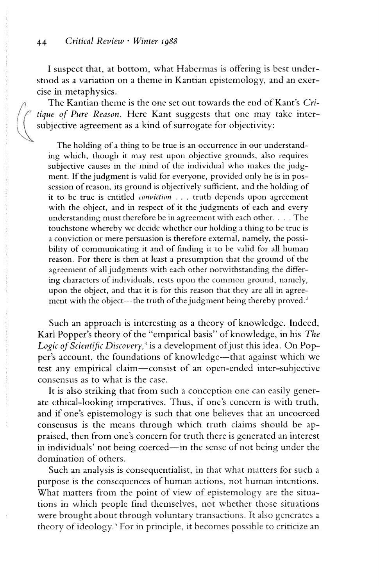I suspect that, at bottom, what Habermas is offering is best understood as a variation on a theme in Kantian epistemology, and an exercise in metaphysics.

The Kantian theme is the one set out towards the end of Kant's Cri*tique of Pure Reason.* Here Kant suggests that one may take intersubjective agreement as a kind of surrogate for objectivity:

The holding of a thing to be true is an occurrence in our understanding which, though it may rest upon objective grounds, also requires subjective causes in the mind of the individual who makes the judgment. If the judgment is valid for everyone, provided only he is in possession of reason, its ground is objectively sufficient, and the holding of it to be true is entitled *conviction* . . . truth depends upon agreement with the object, and in respect of it the judgments of each and every understanding must therefore be in agreement with each other. . . . The touchstone whereby we decide whether our holding a thing to be true is a conviction or mere persuasion is therefore external, namely, the possibility of communicating it and of finding it to be valid for all human reason. For there is then at least a presumption that the ground of the agreement of all judgments with each other notwithstanding the differing characters of individuals, rests upon the common ground, namely, upon the object, and that it is for this reason that they are all in agreement with the object—the truth of the judgment being thereby proved.<sup>3</sup>

Such an approach is interesting as a theory of knowledge. Indeed, Karl Popper's theory of the "empirical basis" of knowledge, in his *The Logic of Scientific Discovery*,<sup>4</sup> is a development of just this idea. On Popper's account, the foundations of knowledge—that against which we test any empirical claim-consist of an open-ended inter-subjective consensus as to what is the case.

It is also striking that from such a conception one can easily gener-<br>ate ethical-looking imperatives. Thus, if one's concern is with truth, and if one's epistemology is such that one believes that an uncoerced consensus is the means through which truth claims should be appraised, then from one's concern for truth there is generated an interest in individuals' not being coerced—in the sense of not being under the domination of others.

Such an analysis is consequentialist, in that what matters for such a purpose is the consequences of human actions, not human intentions. What matters from the point of view of epistemology are the situations in which people find themselves, not whether those situations were brought about through voluntary transactions. It also generates a theory of ideology.<sup>5</sup> For in principle, it becomes possible to criticize an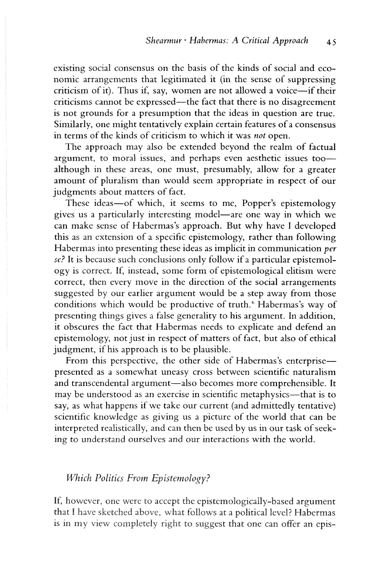existing social consensus on the basis of the kinds of social and economic arrangements that legitimated it (in the sense of suppressing criticism of it). Thus if, say, women are not allowed a voice-if their criticisms cannot be expressed-the fact that there is no disagreement is not grounds for a presumption that the ideas in question are true. Similarly, one might tentatively explain certain features of a consensus in terms of the kinds of criticism to which it was not open.

The approach may also be extended beyond the realm of factual argument, to moral issues, and perhaps even aesthetic issues tooalthough in these areas, one must, presumably, allow for a greater amount of pluralism than would seem appropriate in respect of our judgments about matters of fact.

These ideas-of which, it seems to me, Popper's epistemology gives us a particularly interesting model-are one way in which we can make sense of Habermas's approach. But why have I developed this as an extension of a specific epistemology, rather than following Habermas into presenting these ideas as implicit in communication *per*  se? It is because such conclusions only follow if a particular epistemology is correct. If, instead, some form of epistemological elitism were correct, then every move in the direction of the social arrangements suggested by our earlier argument would be a step away from those conditions which would be productive of truth.<sup>6</sup> Habermas's way of presenting things gives a false generality to his argument. In addition, it obscures the fact that Habermas needs to explicate and defend an epistemology, not just in respect of matters of fact, but also of ethical judgment, if his approach is to be plausible.

From this perspective, the other side of Habermas's enterprisepresented as a somewhat uneasy cross between scientific naturalism and transcendental argument-also becomes more comprehensible. It may be understood as an exercise in scientific metaphysics—that is to say, as what happens if we take our current (and admittedly tentative) scientific knowledge as giving us a picture of the world that can be interpreted realistically, and can then be used by us in our task of seeking to understand ourselves and our interactions with the world.

### *mich Politics From Epistemology?*

If, however, one were to accept the episternologicaily-based argument that I have sketched above, what follows at a political level? Habermas is in my view completely right to suggest that one can offer an epis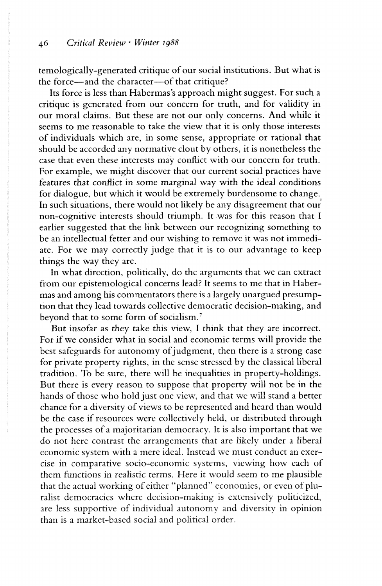temologically-generated critique of our social institutions. But what is the force-and the character-of that critique?

Its force is less than Habermas's approach might suggest. For such a critique is generated from our concern for truth, and for validity in our moral claims. But these are not our only concerns. And while it seems to me reasonable to take the view that it is only those interests of individuals which are, in some sense, appropriate or rational that should be accorded any normative clout by others, it is nonetheless the case that even these interests may conflict with our concern for truth. For example, we might discover that our current social practices have features that conflict in some marginal way with the ideal conditions for dialogue, but which it would be extremely burdensome to change. In such situations, there would not likely be any disagreement that our non-cognitive interests should triumph. It was for this reason that I earlier suggested that the link betmen our recognizing something to be an intellectual fetter and our wishing to remove it was not immediate. For we may correctly judge that it is to our advantage to keep things the way they are.

In what direction, politically, do the arguments that we can extract from our epistemological concerns lead? It seems to me that in Habermas and among his commentators there is a largely unargued presumption that they lead towards collective democratic decision-making, and beyond that to some form of socialism.?

But insofar as they take this view, I think that they are incorrect. For if we consider what in social and economic terms will provide the best safeguards for autonomy of judgment, then there is a strong case for private property rights, in the sense stressed by the classical liberal tradition. To be sure, there will be inequalities in property-holdings. But there is every reason to suppose that property will not be in the hands of those who kold just one view, and that we will stand a better chance for a diversity of views to be represented and heard than would be the case if resources were collectively held, or distributed through the processes of a majoritarian democracy. It is also important that we do not here contrast the arrangements that are likely under a liberal economic system with a mere ideal. Instead we must conduct an exercise in comparative socio-economic systems, viewing how each of them functions in realistic terms. Here it would seem to me plausible that the actual working of either "planned" economies, or even of pluralist democracies where decision-making is extensively politicized, are less supportive of individual autonomy and diversity in opinion than is a market-based social and political order.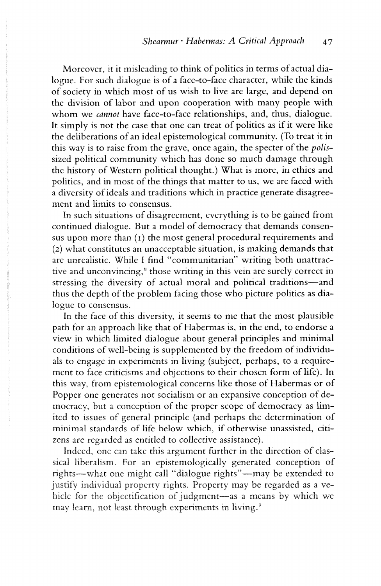Moreover, it it misleading to think of politics in terms of actual dialogue. For such dialogue is of a face-to-face character, while the kinds of society in which most of us wish to live are large, and depend on the division of labor and upon cooperation with many people with whom we *cannot* have face-to-face relationships, and, thus, dialogue. It simply is not the case that one can treat of politics as if it were like the deliberations of an idea1 epistemological community. (To treat it in this way is to raise from the grave, once again, the specter of the *polis*sized political community which has done so much damage through the history of Western political thought.) What is more, in ethics and politics, and in most of the things that matter to us, we are faced with a diversity of ideals and traditions which in practice generate disagreement and limits to consensus.

In such situations of disagreement, everything is to be gained from continued dialogue. But a model of democracy that demands consensus upon more than (1) the most general procedural requirements and (2) what constitutes an unacceptable situation, is making demands that are unrealistic. While I find "communitarian" writing both unattractive and unconvincing,<sup>8</sup> those writing in this vein are surely correct in stressing the diversity of actual moral and political traditions-and thus the depth of the problem facing those who picture politics as dialogue to consensus.

In the face of this diversity, it seems to me that the most plausible path for an approach like that of Habermas is, in the end, to endorse a view in which limited dialogue about general principles and minimal conditions of well-being is supplemented by the freedom of individuals to engage in experiments in living (subject, perhaps, to a requirement to face criticisms and objections to their chosen form of life). In this way, from epistemological concerns like those of Habermas or of Popper one generates not socialism or an expansive conception of democracy, but a conception of the proper scope of democracy as limited to issues of general principle (and perhaps the determination of minimal standards of life below which, if otherwise unassisted, citizens are regarded as entitled to collective assistance).

Indeed, one can take this argument further in the direction of classical liberalism. For an epistemologically generated conception of rights-what one might call "dialogue rights"-may be extended to justify individual property rights. Property may be regarded as a vehicle for the objectification of judgment-as a means by which we may learn, not least through experiments in living.'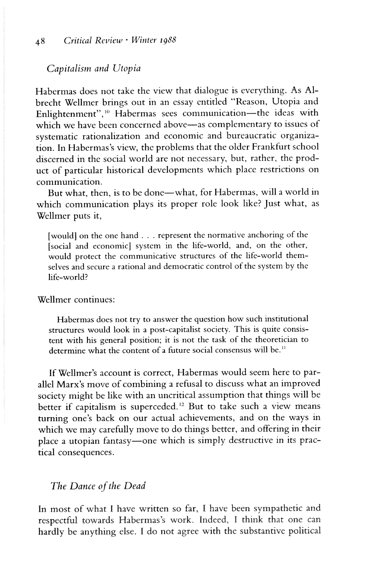#### *Capitalism artd Utopia*

Habermas does not take the view that dialogue is everything. As Albrecht Wellmer brings out in an essay entitled "Reason, Utopia and Enlightenment",<sup>10</sup> Habermas sees communication-the ideas with which we have been concerned above-as complementary to issues of systematic rationalization and economic and bureaucratic organization, In Habermas's view, the problems that the older Frankfurt school discerned in the social world are not necessary, but, rather, the product of particular historical developments which place restrictions on communrcatlon.

But what, then, is to be done-what, for Habermas, will a world in which communication plays its proper role look like? Just what, as Wellmer puts it,

[would] on the one hand . . . represent the normative anchoring of the isocial and econornic] system in the life-world, and, on the other, would protect the communicative structures of the life-world themselves and secure a rational and democratic control of the system by the life-world?

#### Wellmer continues:

Haberrnas does not try to answer the question how such institutional structures would look in a post-capitalist society. This is quite consistent with his general position; it is not the task of the theoretician to determine what the content of a future social consensus will be.<sup>11</sup>

If Wellmer's account is correct, Habermas would seem here to parallel Narx's move of combining a refusal to discuss what an improved society might be like with an uncritical assumption that things will be better if capitalism is superceded." But to take such a view means turning one's back on our actual achievements, and on the ways in which we may carefully move to do things better, and offering in their place a utopian fantasy-one which is simply destructive in its practical consequences.

### *The Dance ofthe Dead*

In most of what I have written so far, **1** have been sympathetic and respectful towards Habermas's work. Indeed, **I** think that one can hardly be anything else. I do not agree with the substantive political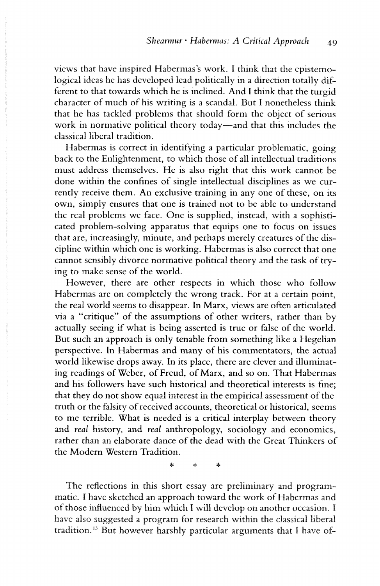views that have inspired Habermas's work. I think that the episternological ideas he has developed lead politically in a direction totally different to that towards which he is inclined. And I think that the turgid character of much of his writing is a scandal. But I nonetheless think that he has tackled problems that should form the object of serious work in normative political theory today—and that this includes the classical liberal tradition.

Habermas is correct in identifying a particular problematic, going back to the Enlightenment, to which those of all intellectual traditions must address themselves. He is also right that this work cannot be done within the confines of single intellectual disciplines as we currently receive them. An exclusive training in any one of these, on its own, simply ensures that one is trained not to be able to understand the real problems we face. One is supplied, instead, with a sophisticated problem-solving apparatus that equips one to focus on issues that are, increasingly, minute, and perhaps merely creatures of the discipline within which one is working. Habermas is also correct that one cannot sensibly divorce normative political theory and the task of trying to make sense of the world.

However, there are other respects in which those who follow Habermas are on completely the wrong track. For at a certain point, the real world seems to disappear. In Marx, views are often articulated via a "critique" of the assumptions of other writers, rather than by actually seeing if what is being asserted is true or false of the world. But such an approach is only tenable from something like a Hegelian perspective. In Habermas and many of his commentators, the actual world likewise drops away. In its place, there are clever and illuminating readings of Weber, of Freud, of Marx, and so on. That Habermas and his followers have such historical and theoretical interests is fine; that they do not show equal interest in the empirical assessment of the truth or the falsity of received accounts, theoretical or historical, seems to me terrible. What is needed is a critical interplay between theory and *real* history, and *real* anthropology, sociology and economics, rather than an elaborate dance of the dead with the Great Thinkers of the Modern Western Tradition.

The reflections in this short essay are preliminary and programmatic. I have sketched an approach toward the work of Habermas and of those influenced by him which **E** will develop on anothcr occasion. **1I**  have also suggested a program for research within the classical liberal tradition.<sup>13</sup> But however harshly particular arguments that I have of